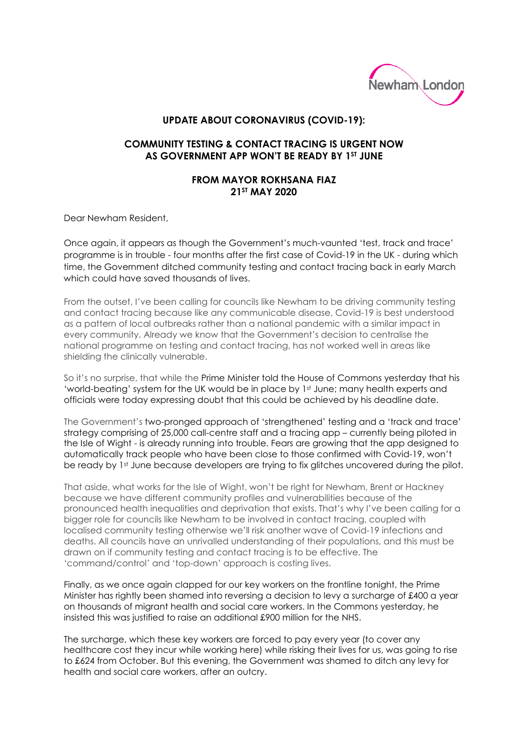

## **UPDATE ABOUT CORONAVIRUS (COVID-19):**

## **COMMUNITY TESTING & CONTACT TRACING IS URGENT NOW AS GOVERNMENT APP WON'T BE READY BY 1ST JUNE**

## **FROM MAYOR ROKHSANA FIAZ 21ST MAY 2020**

Dear Newham Resident,

Once again, it appears as though the Government's much-vaunted 'test, track and trace' programme is in trouble - four months after the first case of Covid-19 in the UK - during which time, the Government ditched community testing and contact tracing back in early March which could have saved thousands of lives.

From the outset, I've been calling for councils like Newham to be driving community testing and contact tracing because like any communicable disease, Covid-19 is best understood as a pattern of local outbreaks rather than a national pandemic with a similar impact in every community. Already we know that the Government's decision to centralise the national programme on testing and contact tracing, has not worked well in areas like shielding the clinically vulnerable.

So it's no surprise, that while the Prime Minister told the House of Commons yesterday that his 'world-beating' system for the UK would be in place by 1st June; many health experts and officials were today expressing doubt that this could be achieved by his deadline date.

The Government's two-pronged approach of 'strengthened' testing and a 'track and trace' strategy comprising of 25,000 call-centre staff and a tracing app – currently being piloted in the Isle of Wight - is already running into trouble. Fears are growing that the app designed to automatically track people who have been close to those confirmed with Covid-19, won't be ready by 1st June because developers are trying to fix glitches uncovered during the pilot.

That aside, what works for the Isle of Wight, won't be right for Newham, Brent or Hackney because we have different community profiles and vulnerabilities because of the pronounced health inequalities and deprivation that exists. That's why I've been calling for a bigger role for councils like Newham to be involved in contact tracing, coupled with localised community testing otherwise we'll risk another wave of Covid-19 infections and deaths. All councils have an unrivalled understanding of their populations, and this must be drawn on if community testing and contact tracing is to be effective. The 'command/control' and 'top-down' approach is costing lives.

Finally, as we once again clapped for our key workers on the frontline tonight, the Prime Minister has rightly been shamed into reversing a decision to levy a surcharge of £400 a year on thousands of migrant health and social care workers. In the Commons yesterday, he insisted this was justified to raise an additional £900 million for the NHS.

The surcharge, which these key workers are forced to pay every year (to cover any healthcare cost they incur while working here) while risking their lives for us, was going to rise to £624 from October. But this evening, the Government was shamed to ditch any levy for health and social care workers, after an outcry.